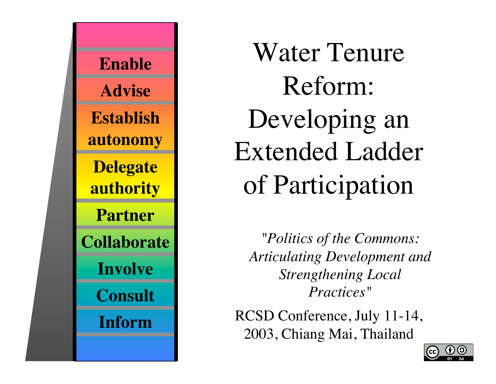

Water Tenure Reform: Developing an Extended Ladder of Participation

*"Politics of the Commons: Articulating Development and Strengthening Local Practices"*

RCSD Conference, July 11-14, 2003, Chiang Mai, Thailand

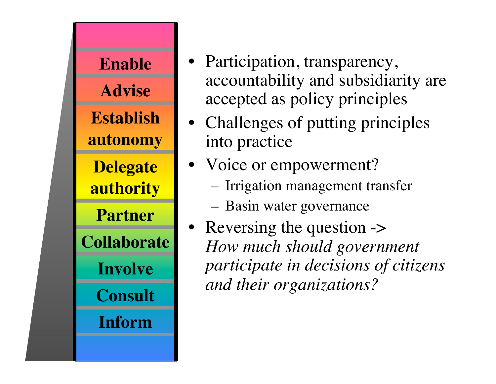

- Participation, transparency, accountability and subsidiarity are accepted as policy principles
- Challenges of putting principles into practice
- Voice or empowerment?
	- Irrigation management transfer
	- Basin water governance
- Reversing the question -> *How much should government participate in decisions of citizens and their organizations?*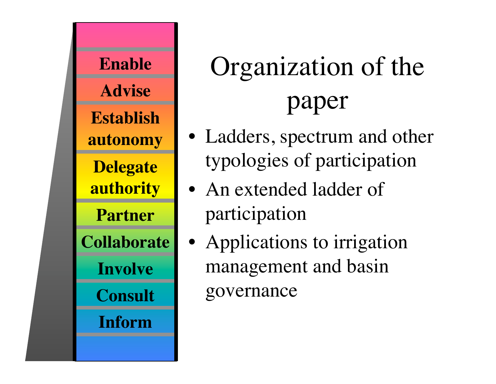

# Organization of the paper

- Ladders, spectrum and other typologies of participation
- An extended ladder of participation
	- Applications to irrigation management and basin governance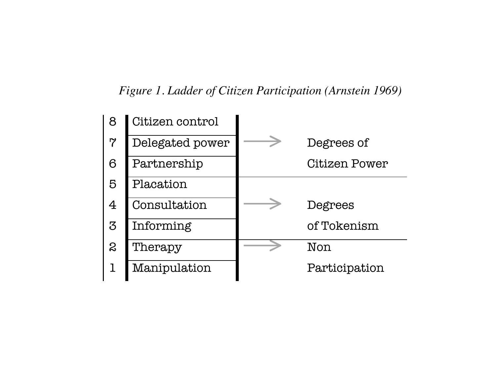#### *Figure 1. Ladder of Citizen Participation (Arnstein 1969)*

| 8              | Citizen control |               |
|----------------|-----------------|---------------|
| $\overline{7}$ | Delegated power | Degrees of    |
| 6              | Partnership     | Citizen Power |
| 5              | Placation       |               |
| $\overline{4}$ | Consultation    | Degrees       |
| 3              | Informing       | of Tokenism   |
| 2              | Therapy         | Non           |
|                | Manipulation    | Participation |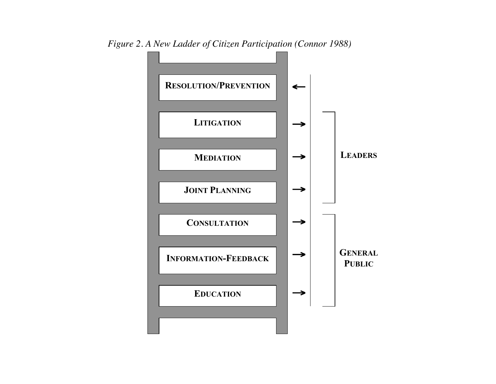

*Figure 2. A New Ladder of Citizen Participation (Connor 1988)*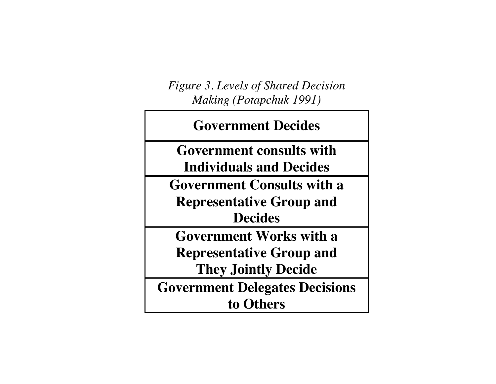*Figure 3. Levels of Shared Decision Making (Potapchuk 1991)*

**Government Decides Government consults with Individuals and Decides Government Consults with a Representative Group and Decides Government Works with a Representative Group and They Jointly Decide Government Delegates Decisions to Others**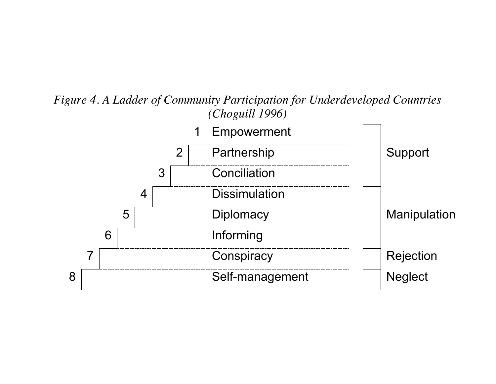#### *Figure 4. A Ladder of Community Participation for Underdeveloped Countries (Choguill 1996)*

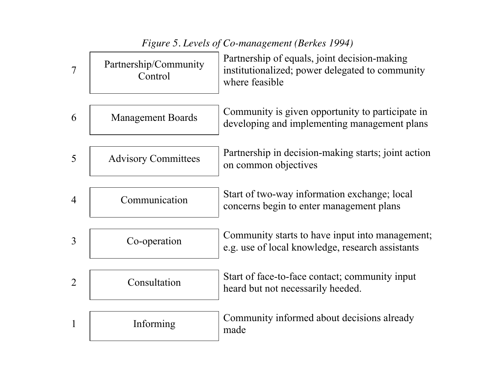|                | Figure 5. Levels of Co-management (Berkes 1994) |                                                                                                                   |  |  |  |
|----------------|-------------------------------------------------|-------------------------------------------------------------------------------------------------------------------|--|--|--|
| $\overline{7}$ | Partnership/Community<br>Control                | Partnership of equals, joint decision-making<br>institutionalized; power delegated to community<br>where feasible |  |  |  |
| 6              | <b>Management Boards</b>                        | Community is given opportunity to participate in<br>developing and implementing management plans                  |  |  |  |
| 5              | <b>Advisory Committees</b>                      | Partnership in decision-making starts; joint action<br>on common objectives                                       |  |  |  |
| 4              | Communication                                   | Start of two-way information exchange; local<br>concerns begin to enter management plans                          |  |  |  |
| 3              | Co-operation                                    | Community starts to have input into management;<br>e.g. use of local knowledge, research assistants               |  |  |  |
| $\overline{2}$ | Consultation                                    | Start of face-to-face contact; community input<br>heard but not necessarily heeded.                               |  |  |  |
| 1              | Informing                                       | Community informed about decisions already<br>made                                                                |  |  |  |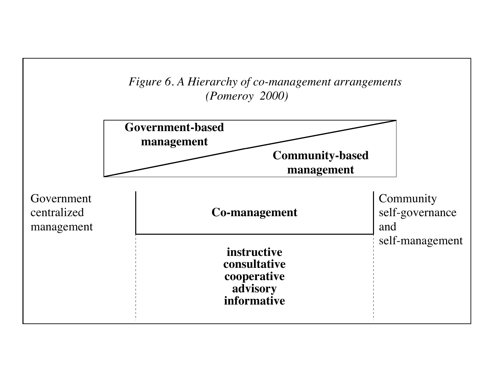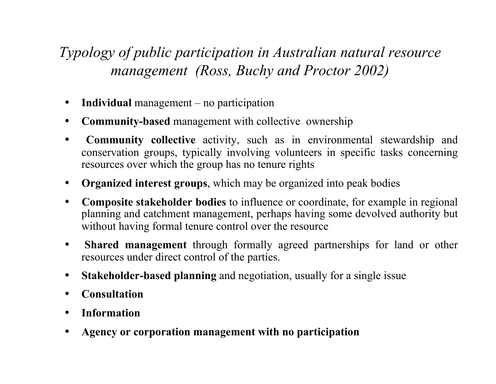#### *Typology of public participation in Australian natural resource management (Ross, Buchy and Proctor 2002)*

- **Individual** management no participation
- **Community-based** management with collective ownership
- **Community collective** activity, such as in environmental stewardship and conservation groups, typically involving volunteers in specific tasks concerning resources over which the group has no tenure rights
- **Organized interest groups**, which may be organized into peak bodies
- **Composite stakeholder bodies** to influence or coordinate, for example in regional planning and catchment management, perhaps having some devolved authority but without having formal tenure control over the resource
- **Shared management** through formally agreed partnerships for land or other resources under direct control of the parties.
- **Stakeholder-based planning** and negotiation, usually for a single issue
- **Consultation**
- **Information**
- **Agency or corporation management with no participation**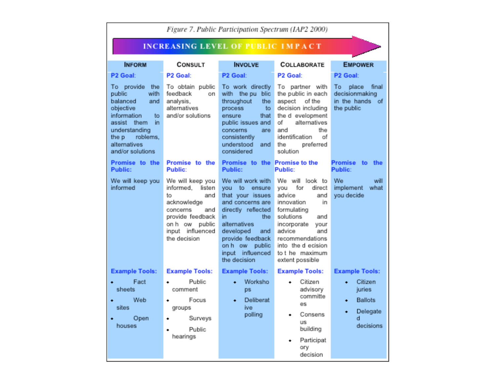| Figure 7. Public Participation Spectrum (IAP2 2000)                                                                                                                                 |                                                                                                                                                               |                                                                                                                                                                                                                                         |                                                                                                                                                                                                                                         |                                                                               |  |  |
|-------------------------------------------------------------------------------------------------------------------------------------------------------------------------------------|---------------------------------------------------------------------------------------------------------------------------------------------------------------|-----------------------------------------------------------------------------------------------------------------------------------------------------------------------------------------------------------------------------------------|-----------------------------------------------------------------------------------------------------------------------------------------------------------------------------------------------------------------------------------------|-------------------------------------------------------------------------------|--|--|
| <b>INCREASING LEVEL OF PUBLIC IMPACT</b>                                                                                                                                            |                                                                                                                                                               |                                                                                                                                                                                                                                         |                                                                                                                                                                                                                                         |                                                                               |  |  |
| <b>INFORM</b>                                                                                                                                                                       | <b>CONSULT</b>                                                                                                                                                | <b>INVOLVE</b>                                                                                                                                                                                                                          | <b>COLLABORATE</b>                                                                                                                                                                                                                      | <b>EMPOWER</b>                                                                |  |  |
| P <sub>2</sub> Goal:                                                                                                                                                                | P <sub>2</sub> Goal:                                                                                                                                          | P <sub>2</sub> Goal:                                                                                                                                                                                                                    | P2 Goal:                                                                                                                                                                                                                                | P <sub>2</sub> Goal:                                                          |  |  |
| To provide the<br>with<br>public<br>balanced<br>and<br>objective<br>information<br>to.<br>assist them<br>in.<br>understanding<br>the p roblems,<br>alternatives<br>and/or solutions | To obtain public<br>feedback<br>on<br>analysis,<br>alternatives<br>and/or solutions                                                                           | To work directly<br>with the pu blic<br>throughout<br>the<br>process<br>to<br>ensure<br>that<br>public issues and<br>concerns<br>are<br>consistently<br>understood<br>and<br>considered                                                 | To partner with<br>the public in each<br>aspect<br>of the<br>decision including<br>the d evelopment<br>of<br>alternatives<br>and<br>the<br>identification<br>of<br>the<br>preferred<br>solution                                         | To<br>place<br>final<br>decisionmaking<br>in the hands<br>οf<br>the public    |  |  |
| Promise to the<br><b>Public:</b>                                                                                                                                                    | Promise to the<br>Public:                                                                                                                                     | Promise to the Promise to the<br>Public:                                                                                                                                                                                                | Public:                                                                                                                                                                                                                                 | Promise<br>to<br>the<br>Public:                                               |  |  |
| We will keep you<br>informed                                                                                                                                                        | We will keep you<br>informed, listen<br>and<br>to<br>acknowledge<br>concerns<br>and<br>provide feedback<br>on h ow public<br>input influenced<br>the decision | We will work with<br>to ensure<br><b>VOU</b><br>that your issues<br>and concerns are<br>directly reflected<br>the.<br>in.<br>alternatives<br>developed<br>and<br>provide feedback<br>on h ow public<br>input influenced<br>the decision | We will look to<br>for<br>direct<br>vou<br>advice<br>and<br>innovation<br>in.<br>formulating<br>solutions<br>and<br>incorporate<br>your<br>advice<br>and<br>recommendations<br>into the d ecision<br>to t he maximum<br>extent possible | We<br>will<br>implement<br>what<br>you decide                                 |  |  |
| <b>Example Tools:</b><br>Fact<br>sheets<br>Web<br>٠<br>sites                                                                                                                        | <b>Example Tools:</b><br>Public<br>٠<br>comment<br>Focus<br>۰<br>groups                                                                                       | <b>Example Tools:</b><br>Worksho<br><b>DS</b><br>Deliberat<br>٠<br>ive<br>polling                                                                                                                                                       | <b>Example Tools:</b><br>Citizen<br>advisory<br>committe<br>es<br>Consens                                                                                                                                                               | <b>Example Tools:</b><br>Citizen<br>juries<br><b>Ballots</b><br>٠<br>Delegate |  |  |
| Open<br>houses                                                                                                                                                                      | Surveys<br>Public<br>hearings                                                                                                                                 |                                                                                                                                                                                                                                         | us<br>building<br>Participat<br>ory<br>decision                                                                                                                                                                                         | d<br>decisions                                                                |  |  |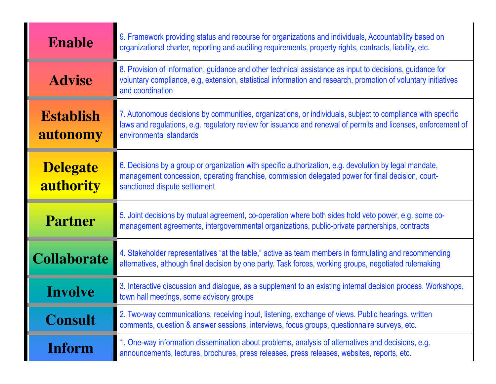| <b>Enable</b>                | 9. Framework providing status and recourse for organizations and individuals, Accountability based on<br>organizational charter, reporting and auditing requirements, property rights, contracts, liability, etc.                                      |
|------------------------------|--------------------------------------------------------------------------------------------------------------------------------------------------------------------------------------------------------------------------------------------------------|
| <b>Advise</b>                | 8. Provision of information, guidance and other technical assistance as input to decisions, guidance for<br>voluntary compliance, e.g, extension, statistical information and research, promotion of voluntary initiatives<br>and coordination         |
| <b>Establish</b><br>autonomy | 7. Autonomous decisions by communities, organizations, or individuals, subject to compliance with specific<br>laws and regulations, e.g. regulatory review for issuance and renewal of permits and licenses, enforcement of<br>environmental standards |
| <b>Delegate</b><br>authority | 6. Decisions by a group or organization with specific authorization, e.g. devolution by legal mandate,<br>management concession, operating franchise, commission delegated power for final decision, court-<br>sanctioned dispute settlement           |
| <b>Partner</b>               | 5. Joint decisions by mutual agreement, co-operation where both sides hold veto power, e.g. some co-<br>management agreements, intergovernmental organizations, public-private partnerships, contracts                                                 |
| <b>Collaborate</b>           | 4. Stakeholder representatives "at the table," active as team members in formulating and recommending<br>alternatives, although final decision by one party. Task forces, working groups, negotiated rulemaking                                        |
| <b>Involve</b>               | 3. Interactive discussion and dialogue, as a supplement to an existing internal decision process. Workshops,<br>town hall meetings, some advisory groups                                                                                               |
| <b>Consult</b>               | 2. Two-way communications, receiving input, listening, exchange of views. Public hearings, written<br>comments, question & answer sessions, interviews, focus groups, questionnaire surveys, etc.                                                      |
| <b>Inform</b>                | 1. One-way information dissemination about problems, analysis of alternatives and decisions, e.g.<br>announcements, lectures, brochures, press releases, press releases, websites, reports, etc.                                                       |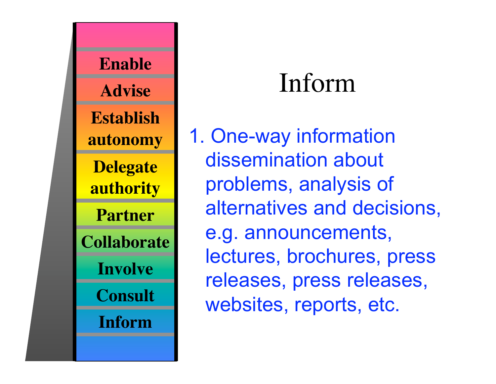

## Inform

1. One-way information dissemination about problems, analysis of alternatives and decisions, e.g. announcements, lectures, brochures, press releases, press releases, websites, reports, etc.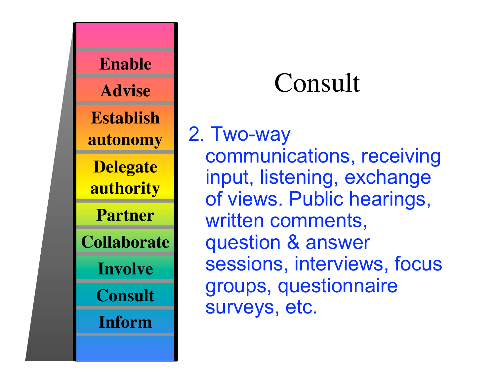

## Consult

2. Two-way communications, receiving input, listening, exchange of views. Public hearings, written comments, question & answer sessions, interviews, focus groups, questionnaire surveys, etc.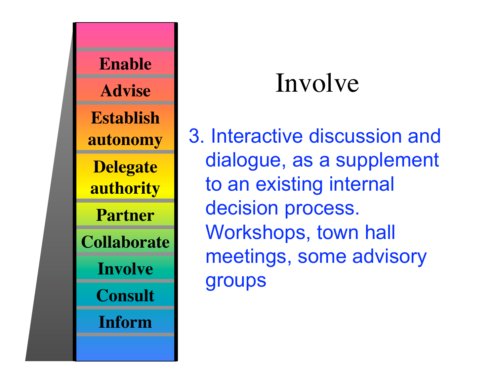

## Involve

3. Interactive discussion and dialogue, as a supplement to an existing internal decision process. Workshops, town hall meetings, some advisory groups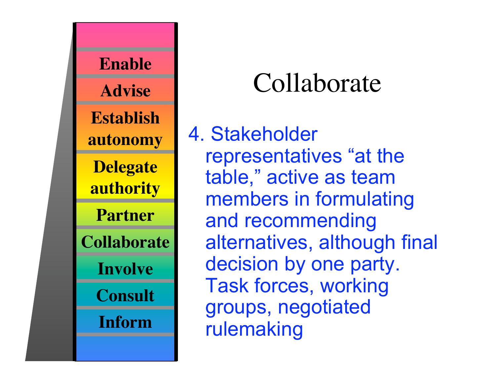

#### Collaborate

4. Stakeholder representatives "at the table," active as team members in formulating and recommending alternatives, although final decision by one party. Task forces, working groups, negotiated rulemaking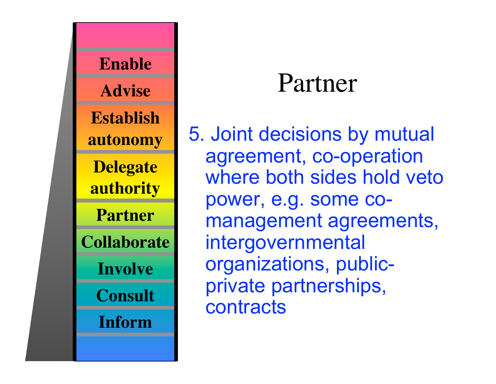

#### Partner

5. Joint decisions by mutual agreement, co-operation where both sides hold veto power, e.g. some comanagement agreements, intergovernmental organizations, publicprivate partnerships, **contracts**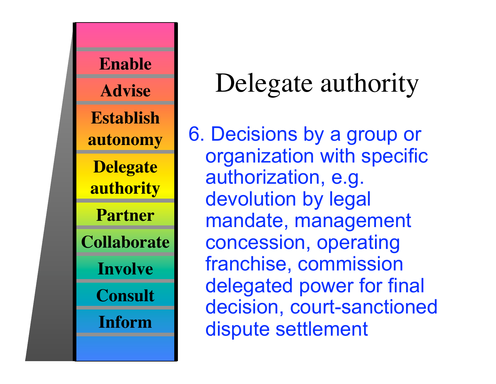

### Delegate authority

6. Decisions by a group or organization with specific authorization, e.g. devolution by legal mandate, management concession, operating franchise, commission delegated power for final decision, court-sanctioned dispute settlement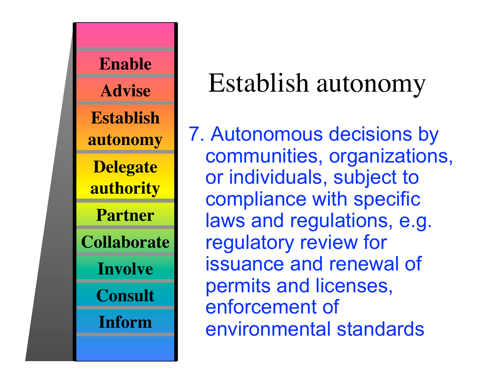

### Establish autonomy

7. Autonomous decisions by communities, organizations, or individuals, subject to compliance with specific laws and regulations, e.g. regulatory review for issuance and renewal of permits and licenses, enforcement of environmental standards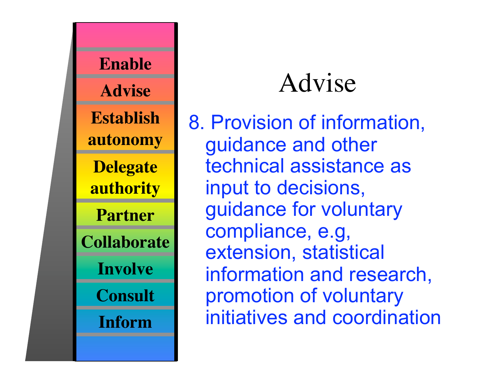

### Advise

8. Provision of information, guidance and other technical assistance as input to decisions, guidance for voluntary compliance, e.g, extension, statistical information and research, promotion of voluntary initiatives and coordination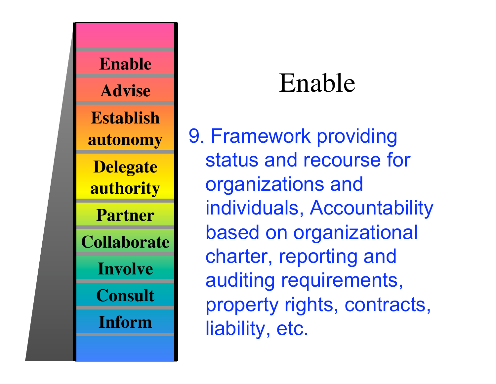

#### Enable

9. Framework providing status and recourse for organizations and individuals, Accountability based on organizational charter, reporting and auditing requirements, property rights, contracts, liability, etc.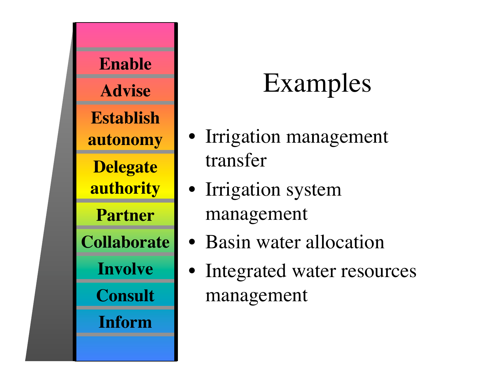

## Examples

- Irrigation management transfer
- Irrigation system management
- Basin water allocation
- Integrated water resources management